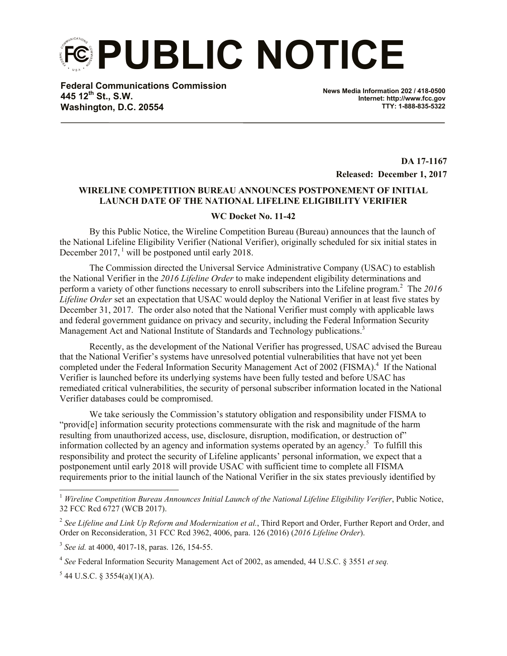**PUBLIC NOTICE**

**Federal Communications Commission 445 12th St., S.W. Washington, D.C. 20554**

**News Media Information 202 / 418-0500 Internet: http://www.fcc.gov TTY: 1-888-835-5322**

> **DA 17-1167 Released: December 1, 2017**

## **WIRELINE COMPETITION BUREAU ANNOUNCES POSTPONEMENT OF INITIAL LAUNCH DATE OF THE NATIONAL LIFELINE ELIGIBILITY VERIFIER**

## **WC Docket No. 11-42**

By this Public Notice, the Wireline Competition Bureau (Bureau) announces that the launch of the National Lifeline Eligibility Verifier (National Verifier), originally scheduled for six initial states in December 2017, <sup>1</sup> will be postponed until early 2018.

The Commission directed the Universal Service Administrative Company (USAC) to establish the National Verifier in the *2016 Lifeline Order* to make independent eligibility determinations and perform a variety of other functions necessary to enroll subscribers into the Lifeline program.<sup>2</sup> The 2016 *Lifeline Order* set an expectation that USAC would deploy the National Verifier in at least five states by December 31, 2017. The order also noted that the National Verifier must comply with applicable laws and federal government guidance on privacy and security, including the Federal Information Security Management Act and National Institute of Standards and Technology publications.<sup>3</sup>

Recently, as the development of the National Verifier has progressed, USAC advised the Bureau that the National Verifier's systems have unresolved potential vulnerabilities that have not yet been completed under the Federal Information Security Management Act of 2002 (FISMA).<sup>4</sup> If the National Verifier is launched before its underlying systems have been fully tested and before USAC has remediated critical vulnerabilities, the security of personal subscriber information located in the National Verifier databases could be compromised.

We take seriously the Commission's statutory obligation and responsibility under FISMA to "provid[e] information security protections commensurate with the risk and magnitude of the harm resulting from unauthorized access, use, disclosure, disruption, modification, or destruction of" information collected by an agency and information systems operated by an agency. 5 To fulfill this responsibility and protect the security of Lifeline applicants' personal information, we expect that a postponement until early 2018 will provide USAC with sufficient time to complete all FISMA requirements prior to the initial launch of the National Verifier in the six states previously identified by

 $5$  44 U.S.C. § 3554(a)(1)(A).

 $\overline{a}$ 

<sup>1</sup> *Wireline Competition Bureau Announces Initial Launch of the National Lifeline Eligibility Verifier*, Public Notice, 32 FCC Rcd 6727 (WCB 2017).

<sup>2</sup> *See Lifeline and Link Up Reform and Modernization et al.*, Third Report and Order, Further Report and Order, and Order on Reconsideration, 31 FCC Rcd 3962, 4006, para. 126 (2016) (*2016 Lifeline Order*).

<sup>3</sup> *See id.* at 4000, 4017-18, paras. 126, 154-55.

<sup>4</sup> *See* Federal Information Security Management Act of 2002, as amended, 44 U.S.C. § 3551 *et seq.*